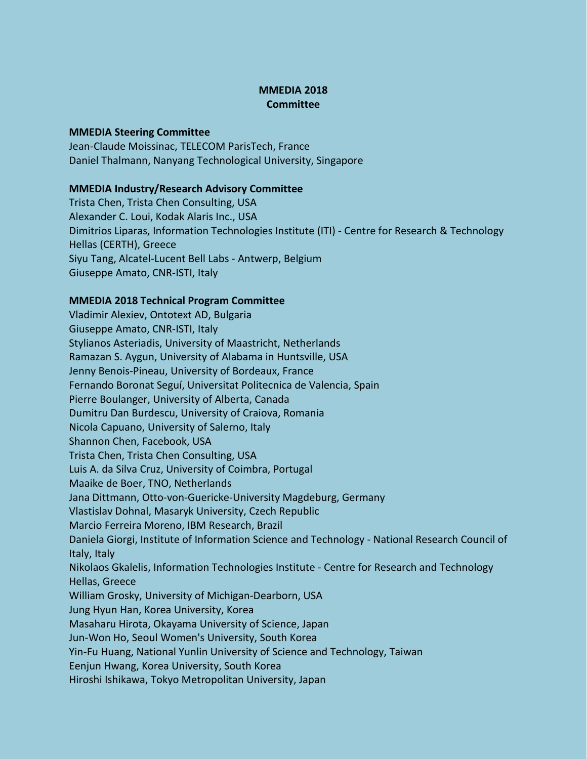## **MMEDIA 2018 Committee**

## **MMEDIA Steering Committee**

Jean-Claude Moissinac, TELECOM ParisTech, France Daniel Thalmann, Nanyang Technological University, Singapore

## **MMEDIA Industry/Research Advisory Committee**

Trista Chen, Trista Chen Consulting, USA Alexander C. Loui, Kodak Alaris Inc., USA Dimitrios Liparas, Information Technologies Institute (ITI) - Centre for Research & Technology Hellas (CERTH), Greece Siyu Tang, Alcatel-Lucent Bell Labs - Antwerp, Belgium Giuseppe Amato, CNR-ISTI, Italy

## **MMEDIA 2018 Technical Program Committee**

Vladimir Alexiev, Ontotext AD, Bulgaria Giuseppe Amato, CNR-ISTI, Italy Stylianos Asteriadis, University of Maastricht, Netherlands Ramazan S. Aygun, University of Alabama in Huntsville, USA Jenny Benois-Pineau, University of Bordeaux, France Fernando Boronat Seguí, Universitat Politecnica de Valencia, Spain Pierre Boulanger, University of Alberta, Canada Dumitru Dan Burdescu, University of Craiova, Romania Nicola Capuano, University of Salerno, Italy Shannon Chen, Facebook, USA Trista Chen, Trista Chen Consulting, USA Luis A. da Silva Cruz, University of Coimbra, Portugal Maaike de Boer, TNO, Netherlands Jana Dittmann, Otto-von-Guericke-University Magdeburg, Germany Vlastislav Dohnal, Masaryk University, Czech Republic Marcio Ferreira Moreno, IBM Research, Brazil Daniela Giorgi, Institute of Information Science and Technology - National Research Council of Italy, Italy Nikolaos Gkalelis, Information Technologies Institute - Centre for Research and Technology Hellas, Greece William Grosky, University of Michigan-Dearborn, USA Jung Hyun Han, Korea University, Korea Masaharu Hirota, Okayama University of Science, Japan Jun-Won Ho, Seoul Women's University, South Korea Yin-Fu Huang, National Yunlin University of Science and Technology, Taiwan Eenjun Hwang, Korea University, South Korea Hiroshi Ishikawa, Tokyo Metropolitan University, Japan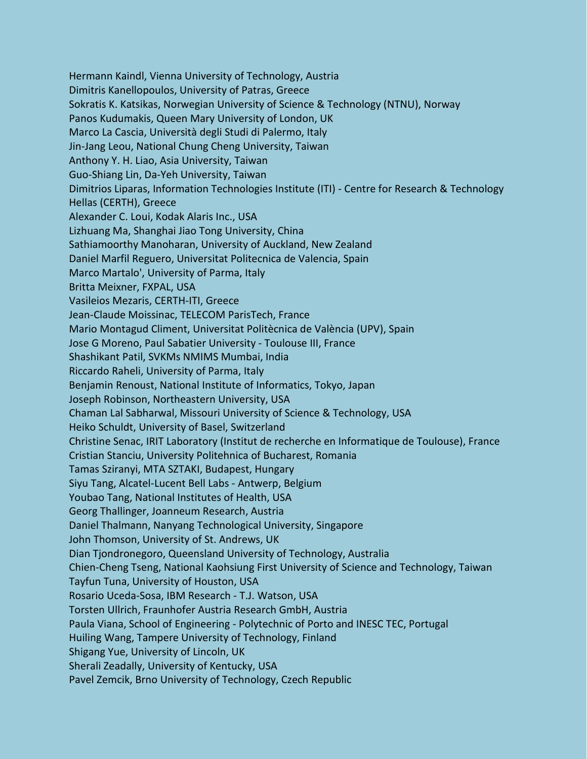Hermann Kaindl, Vienna University of Technology, Austria Dimitris Kanellopoulos, University of Patras, Greece Sokratis K. Katsikas, Norwegian University of Science & Technology (NTNU), Norway Panos Kudumakis, Queen Mary University of London, UK Marco La Cascia, Università degli Studi di Palermo, Italy Jin-Jang Leou, National Chung Cheng University, Taiwan Anthony Y. H. Liao, Asia University, Taiwan Guo-Shiang Lin, Da-Yeh University, Taiwan Dimitrios Liparas, Information Technologies Institute (ITI) - Centre for Research & Technology Hellas (CERTH), Greece Alexander C. Loui, Kodak Alaris Inc., USA Lizhuang Ma, Shanghai Jiao Tong University, China Sathiamoorthy Manoharan, University of Auckland, New Zealand Daniel Marfil Reguero, Universitat Politecnica de Valencia, Spain Marco Martalo', University of Parma, Italy Britta Meixner, FXPAL, USA Vasileios Mezaris, CERTH-ITI, Greece Jean-Claude Moissinac, TELECOM ParisTech, France Mario Montagud Climent, Universitat Politècnica de València (UPV), Spain Jose G Moreno, Paul Sabatier University - Toulouse III, France Shashikant Patil, SVKMs NMIMS Mumbai, India Riccardo Raheli, University of Parma, Italy Benjamin Renoust, National Institute of Informatics, Tokyo, Japan Joseph Robinson, Northeastern University, USA Chaman Lal Sabharwal, Missouri University of Science & Technology, USA Heiko Schuldt, University of Basel, Switzerland Christine Senac, IRIT Laboratory (Institut de recherche en Informatique de Toulouse), France Cristian Stanciu, University Politehnica of Bucharest, Romania Tamas Sziranyi, MTA SZTAKI, Budapest, Hungary Siyu Tang, Alcatel-Lucent Bell Labs - Antwerp, Belgium Youbao Tang, National Institutes of Health, USA Georg Thallinger, Joanneum Research, Austria Daniel Thalmann, Nanyang Technological University, Singapore John Thomson, University of St. Andrews, UK Dian Tjondronegoro, Queensland University of Technology, Australia Chien-Cheng Tseng, National Kaohsiung First University of Science and Technology, Taiwan Tayfun Tuna, University of Houston, USA Rosario Uceda-Sosa, IBM Research - T.J. Watson, USA Torsten Ullrich, Fraunhofer Austria Research GmbH, Austria Paula Viana, School of Engineering - Polytechnic of Porto and INESC TEC, Portugal Huiling Wang, Tampere University of Technology, Finland Shigang Yue, University of Lincoln, UK Sherali Zeadally, University of Kentucky, USA Pavel Zemcik, Brno University of Technology, Czech Republic